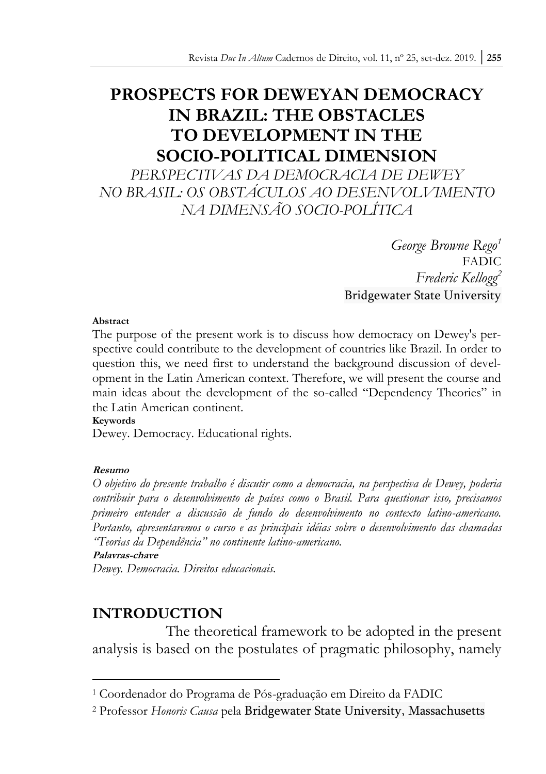# **PROSPECTS FOR DEWEYAN DEMOCRACY IN BRAZIL: THE OBSTACLES TO DEVELOPMENT IN THE SOCIO-POLITICAL DIMENSION**

*PERSPECTIVAS DA DEMOCRACIA DE DEWEY NO BRASIL: OS OBSTÁCULOS AO DESENVOLVIMENTO NA DIMENSÃO SOCIO-POLÍTICA*

> *George Browne Rego<sup>1</sup>* **FADIC** *Frederic Kellogg<sup>2</sup>* Bridgewater State University

### **Abstract**

The purpose of the present work is to discuss how democracy on Dewey's perspective could contribute to the development of countries like Brazil. In order to question this, we need first to understand the background discussion of development in the Latin American context. Therefore, we will present the course and main ideas about the development of the so-called "Dependency Theories" in the Latin American continent.

#### **Keywords**

Dewey. Democracy. Educational rights.

### **Resumo**

*O objetivo do presente trabalho é discutir como a democracia, na perspectiva de Dewey, poderia contribuir para o desenvolvimento de países como o Brasil. Para questionar isso, precisamos primeiro entender a discussão de fundo do desenvolvimento no contexto latino-americano. Portanto, apresentaremos o curso e as principais idéias sobre o desenvolvimento das chamadas "Teorias da Dependência" no continente latino-americano.*

#### **Palavras-chave**

 $\overline{a}$ 

*Dewey. Democracia. Direitos educacionais.*

### **INTRODUCTION**

The theoretical framework to be adopted in the present analysis is based on the postulates of pragmatic philosophy, namely

<sup>1</sup> Coordenador do Programa de Pós-graduação em Direito da FADIC

<sup>2</sup> Professor *Honoris Causa* pela Bridgewater State University, Massachusetts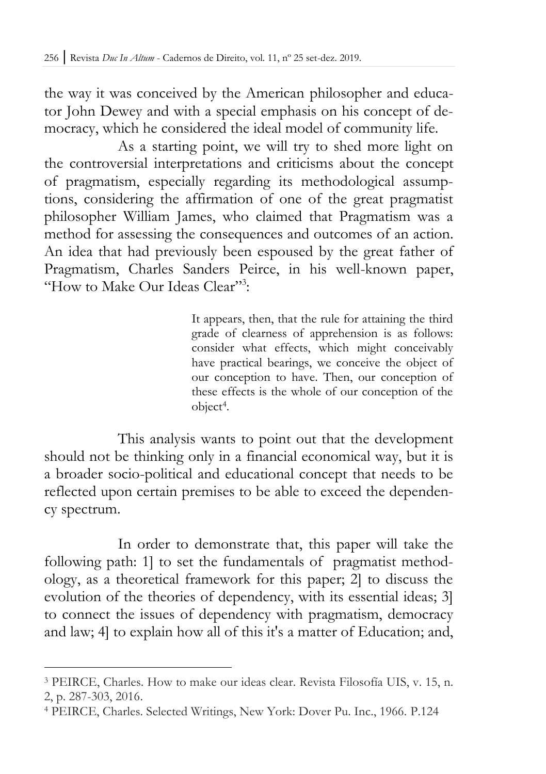the way it was conceived by the American philosopher and educator John Dewey and with a special emphasis on his concept of democracy, which he considered the ideal model of community life.

As a starting point, we will try to shed more light on the controversial interpretations and criticisms about the concept of pragmatism, especially regarding its methodological assumptions, considering the affirmation of one of the great pragmatist philosopher William James, who claimed that Pragmatism was a method for assessing the consequences and outcomes of an action. An idea that had previously been espoused by the great father of Pragmatism, Charles Sanders Peirce, in his well-known paper, "How to Make Our Ideas Clear"<sup>3</sup>:

> It appears, then, that the rule for attaining the third grade of clearness of apprehension is as follows: consider what effects, which might conceivably have practical bearings, we conceive the object of our conception to have. Then, our conception of these effects is the whole of our conception of the object<sup>4</sup> .

This analysis wants to point out that the development should not be thinking only in a financial economical way, but it is a broader socio-political and educational concept that needs to be reflected upon certain premises to be able to exceed the dependency spectrum.

In order to demonstrate that, this paper will take the following path: 1] to set the fundamentals of pragmatist methodology, as a theoretical framework for this paper; 2] to discuss the evolution of the theories of dependency, with its essential ideas; 3] to connect the issues of dependency with pragmatism, democracy and law; 4] to explain how all of this it's a matter of Education; and,

<sup>3</sup> PEIRCE, Charles. How to make our ideas clear. Revista Filosofía UIS, v. 15, n. 2, p. 287-303, 2016.

<sup>4</sup> PEIRCE, Charles. Selected Writings, New York: Dover Pu. Inc., 1966. P.124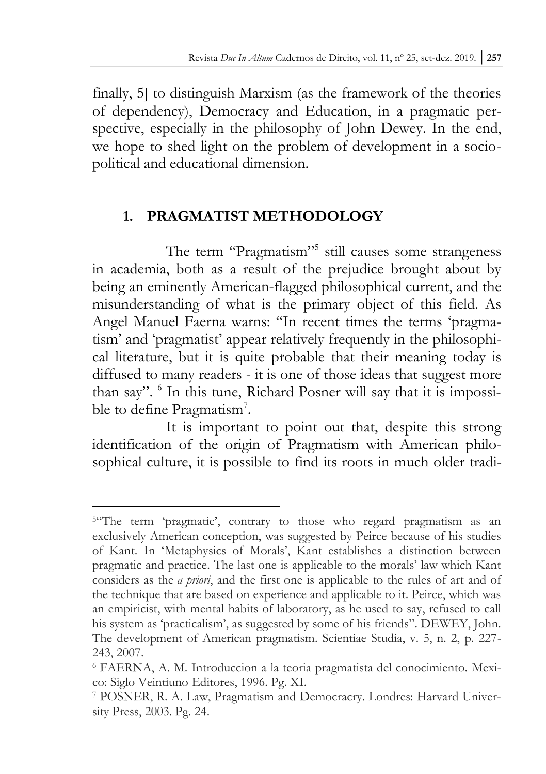finally, 5] to distinguish Marxism (as the framework of the theories of dependency), Democracy and Education, in a pragmatic perspective, especially in the philosophy of John Dewey. In the end, we hope to shed light on the problem of development in a sociopolitical and educational dimension.

### **1. PRAGMATIST METHODOLOGY**

The term "Pragmatism"<sup>5</sup> still causes some strangeness in academia, both as a result of the prejudice brought about by being an eminently American-flagged philosophical current, and the misunderstanding of what is the primary object of this field. As Angel Manuel Faerna warns: "In recent times the terms 'pragmatism' and 'pragmatist' appear relatively frequently in the philosophical literature, but it is quite probable that their meaning today is diffused to many readers - it is one of those ideas that suggest more than say". <sup>6</sup> In this tune, Richard Posner will say that it is impossible to define Pragmatism<sup>7</sup>.

It is important to point out that, despite this strong identification of the origin of Pragmatism with American philosophical culture, it is possible to find its roots in much older tradi-

<sup>&</sup>lt;sup>54</sup>The term 'pragmatic', contrary to those who regard pragmatism as an exclusively American conception, was suggested by Peirce because of his studies of Kant. In 'Metaphysics of Morals', Kant establishes a distinction between pragmatic and practice. The last one is applicable to the morals' law which Kant considers as the *a priori*, and the first one is applicable to the rules of art and of the technique that are based on experience and applicable to it. Peirce, which was an empiricist, with mental habits of laboratory, as he used to say, refused to call his system as 'practicalism', as suggested by some of his friends". DEWEY, John. The development of American pragmatism. Scientiae Studia, v. 5, n. 2, p. 227- 243, 2007.

<sup>6</sup> FAERNA, A. M. Introduccion a la teoria pragmatista del conocimiento. Mexico: Siglo Veintiuno Editores, 1996. Pg. XI.

<sup>7</sup> POSNER, R. A. Law, Pragmatism and Democracry. Londres: Harvard University Press, 2003. Pg. 24.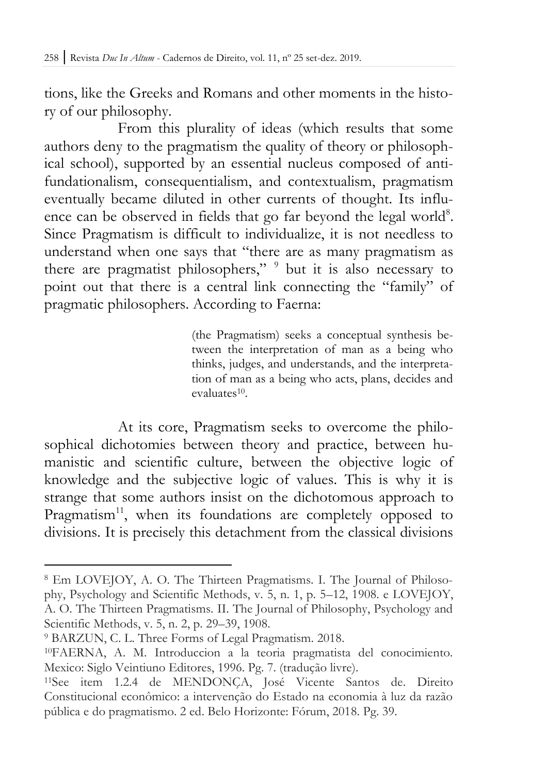tions, like the Greeks and Romans and other moments in the history of our philosophy.

From this plurality of ideas (which results that some authors deny to the pragmatism the quality of theory or philosophical school), supported by an essential nucleus composed of antifundationalism, consequentialism, and contextualism, pragmatism eventually became diluted in other currents of thought. Its influence can be observed in fields that go far beyond the legal world<sup>8</sup>. Since Pragmatism is difficult to individualize, it is not needless to understand when one says that "there are as many pragmatism as there are pragmatist philosophers," <sup>9</sup> but it is also necessary to point out that there is a central link connecting the "family" of pragmatic philosophers. According to Faerna:

> (the Pragmatism) seeks a conceptual synthesis between the interpretation of man as a being who thinks, judges, and understands, and the interpretation of man as a being who acts, plans, decides and evaluates<sup>10</sup>.

At its core, Pragmatism seeks to overcome the philosophical dichotomies between theory and practice, between humanistic and scientific culture, between the objective logic of knowledge and the subjective logic of values. This is why it is strange that some authors insist on the dichotomous approach to Pragmatism<sup>11</sup>, when its foundations are completely opposed to divisions. It is precisely this detachment from the classical divisions

<sup>8</sup> Em LOVEJOY, A. O. The Thirteen Pragmatisms. I. The Journal of Philosophy, Psychology and Scientific Methods, v. 5, n. 1, p. 5–12, 1908. e LOVEJOY, A. O. The Thirteen Pragmatisms. II. The Journal of Philosophy, Psychology and Scientific Methods, v. 5, n. 2, p. 29–39, 1908.

<sup>9</sup> BARZUN, C. L. Three Forms of Legal Pragmatism. 2018.

<sup>10</sup>FAERNA, A. M. Introduccion a la teoria pragmatista del conocimiento. Mexico: Siglo Veintiuno Editores, 1996. Pg. 7. (tradução livre).

<sup>11</sup>See item 1.2.4 de MENDONÇA, José Vicente Santos de. Direito Constitucional econômico: a intervenção do Estado na economia à luz da razão pública e do pragmatismo. 2 ed. Belo Horizonte: Fórum, 2018. Pg. 39.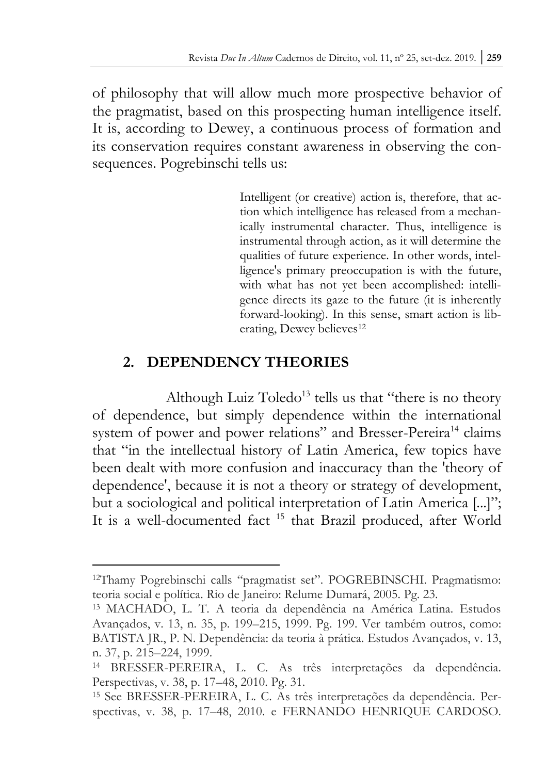of philosophy that will allow much more prospective behavior of the pragmatist, based on this prospecting human intelligence itself. It is, according to Dewey, a continuous process of formation and its conservation requires constant awareness in observing the consequences. Pogrebinschi tells us:

> Intelligent (or creative) action is, therefore, that action which intelligence has released from a mechanically instrumental character. Thus, intelligence is instrumental through action, as it will determine the qualities of future experience. In other words, intelligence's primary preoccupation is with the future, with what has not yet been accomplished: intelligence directs its gaze to the future (it is inherently forward-looking). In this sense, smart action is liberating, Dewey believes<sup>12</sup>

# **2. DEPENDENCY THEORIES**

 $\overline{a}$ 

Although Luiz Toledo<sup>13</sup> tells us that "there is no theory of dependence, but simply dependence within the international system of power and power relations" and Bresser-Pereira<sup>14</sup> claims that "in the intellectual history of Latin America, few topics have been dealt with more confusion and inaccuracy than the 'theory of dependence', because it is not a theory or strategy of development, but a sociological and political interpretation of Latin America [...]"; It is a well-documented fact <sup>15</sup> that Brazil produced, after World

<sup>12</sup>Thamy Pogrebinschi calls "pragmatist set". POGREBINSCHI. Pragmatismo: teoria social e política. Rio de Janeiro: Relume Dumará, 2005. Pg. 23.

<sup>13</sup> MACHADO, L. T. A teoria da dependência na América Latina. Estudos Avançados, v. 13, n. 35, p. 199–215, 1999. Pg. 199. Ver também outros, como: BATISTA JR., P. N. Dependência: da teoria à prática. Estudos Avançados, v. 13, n. 37, p. 215–224, 1999.

<sup>14</sup> BRESSER-PEREIRA, L. C. As três interpretações da dependência. Perspectivas, v. 38, p. 17–48, 2010. Pg. 31.

<sup>15</sup> See BRESSER-PEREIRA, L. C. As três interpretações da dependência. Perspectivas, v. 38, p. 17–48, 2010. e FERNANDO HENRIQUE CARDOSO.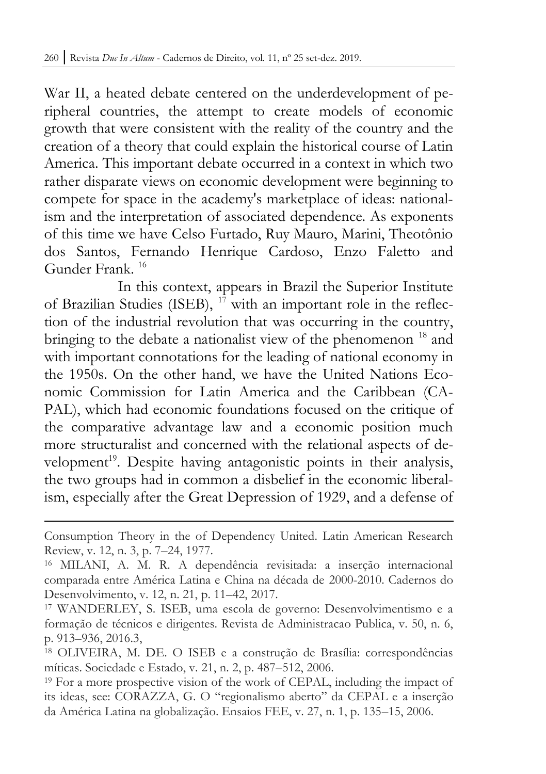War II, a heated debate centered on the underdevelopment of peripheral countries, the attempt to create models of economic growth that were consistent with the reality of the country and the creation of a theory that could explain the historical course of Latin America. This important debate occurred in a context in which two rather disparate views on economic development were beginning to compete for space in the academy's marketplace of ideas: nationalism and the interpretation of associated dependence. As exponents of this time we have Celso Furtado, Ruy Mauro, Marini, Theotônio dos Santos, Fernando Henrique Cardoso, Enzo Faletto and Gunder Frank. <sup>16</sup>

In this context, appears in Brazil the Superior Institute of Brazilian Studies (ISEB), <sup>17</sup> with an important role in the reflection of the industrial revolution that was occurring in the country, bringing to the debate a nationalist view of the phenomenon<sup>18</sup> and with important connotations for the leading of national economy in the 1950s. On the other hand, we have the United Nations Economic Commission for Latin America and the Caribbean (CA-PAL), which had economic foundations focused on the critique of the comparative advantage law and a economic position much more structuralist and concerned with the relational aspects of development<sup>19</sup>. Despite having antagonistic points in their analysis, the two groups had in common a disbelief in the economic liberalism, especially after the Great Depression of 1929, and a defense of

Consumption Theory in the of Dependency United. Latin American Research Review, v. 12, n. 3, p. 7–24, 1977.

<sup>16</sup> MILANI, A. M. R. A dependência revisitada: a inserção internacional comparada entre América Latina e China na década de 2000-2010. Cadernos do Desenvolvimento, v. 12, n. 21, p. 11–42, 2017.

<sup>17</sup> WANDERLEY, S. ISEB, uma escola de governo: Desenvolvimentismo e a formação de técnicos e dirigentes. Revista de Administracao Publica, v. 50, n. 6, p. 913–936, 2016.3,

<sup>18</sup> OLIVEIRA, M. DE. O ISEB e a construção de Brasília: correspondências míticas. Sociedade e Estado, v. 21, n. 2, p. 487–512, 2006.

<sup>19</sup> For a more prospective vision of the work of CEPAL, including the impact of its ideas, see: CORAZZA, G. O "regionalismo aberto" da CEPAL e a inserção da América Latina na globalização. Ensaios FEE, v. 27, n. 1, p. 135–15, 2006.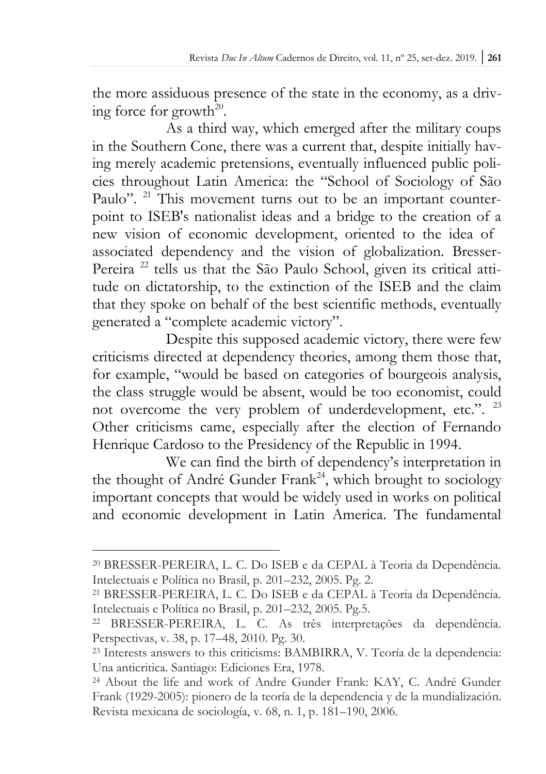the more assiduous presence of the state in the economy, as a driving force for growth $^{20}$ .

As a third way, which emerged after the military coups in the Southern Cone, there was a current that, despite initially having merely academic pretensions, eventually influenced public policies throughout Latin America: the "School of Sociology of São Paulo". <sup>21</sup> This movement turns out to be an important counterpoint to ISEB's nationalist ideas and a bridge to the creation of a new vision of economic development, oriented to the idea of associated dependency and the vision of globalization. Bresser-Pereira<sup>22</sup> tells us that the São Paulo School, given its critical attitude on dictatorship, to the extinction of the ISEB and the claim that they spoke on behalf of the best scientific methods, eventually generated a "complete academic victory".

Despite this supposed academic victory, there were few criticisms directed at dependency theories, among them those that, for example, "would be based on categories of bourgeois analysis, the class struggle would be absent, would be too economist, could not overcome the very problem of underdevelopment, etc.". <sup>23</sup> Other criticisms came, especially after the election of Fernando Henrique Cardoso to the Presidency of the Republic in 1994.

We can find the birth of dependency's interpretation in the thought of André Gunder Frank<sup>24</sup>, which brought to sociology important concepts that would be widely used in works on political and economic development in Latin America. The fundamental

<sup>20</sup> BRESSER-PEREIRA, L. C. Do ISEB e da CEPAL à Teoria da Dependência. Intelectuais e Política no Brasil, p. 201–232, 2005. Pg. 2.

<sup>21</sup> BRESSER-PEREIRA, L. C. Do ISEB e da CEPAL à Teoria da Dependência. Intelectuais e Política no Brasil, p. 201–232, 2005. Pg.5.

<sup>22</sup> BRESSER-PEREIRA, L. C. As três interpretações da dependência. Perspectivas, v. 38, p. 17–48, 2010. Pg. 30.

<sup>23</sup> Interests answers to this criticisms: BAMBIRRA, V. Teoría de la dependencia: Una anticritica. Santiago: Ediciones Era, 1978.

<sup>24</sup> About the life and work of Andre Gunder Frank: KAY, C. André Gunder Frank (1929-2005): pionero de la teoría de la dependencia y de la mundialización. Revista mexicana de sociología, v. 68, n. 1, p. 181–190, 2006.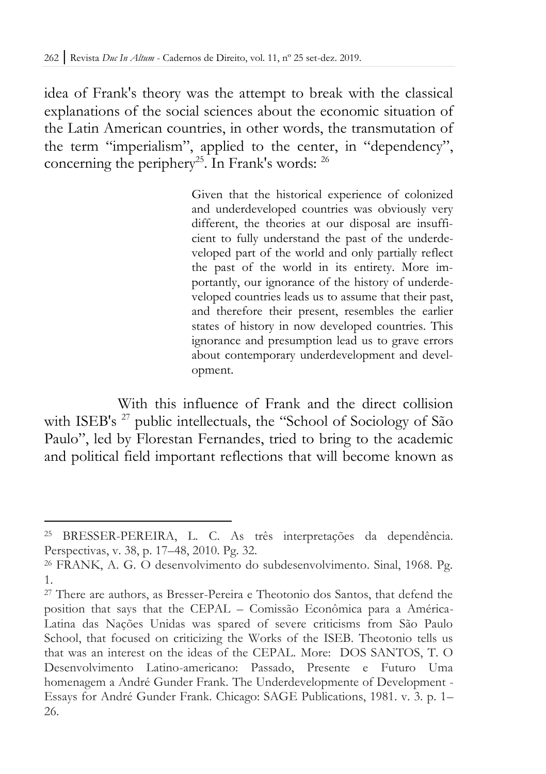idea of Frank's theory was the attempt to break with the classical explanations of the social sciences about the economic situation of the Latin American countries, in other words, the transmutation of the term "imperialism", applied to the center, in "dependency", concerning the periphery<sup>25</sup>. In Frank's words:  $26$ 

> Given that the historical experience of colonized and underdeveloped countries was obviously very different, the theories at our disposal are insufficient to fully understand the past of the underdeveloped part of the world and only partially reflect the past of the world in its entirety. More importantly, our ignorance of the history of underdeveloped countries leads us to assume that their past, and therefore their present, resembles the earlier states of history in now developed countries. This ignorance and presumption lead us to grave errors about contemporary underdevelopment and development.

With this influence of Frank and the direct collision with ISEB's <sup>27</sup> public intellectuals, the "School of Sociology of São Paulo", led by Florestan Fernandes, tried to bring to the academic and political field important reflections that will become known as

<sup>25</sup> BRESSER-PEREIRA, L. C. As três interpretações da dependência. Perspectivas, v. 38, p. 17–48, 2010. Pg. 32.

<sup>26</sup> FRANK, A. G. O desenvolvimento do subdesenvolvimento. Sinal, 1968. Pg. 1.

<sup>27</sup> There are authors, as Bresser-Pereira e Theotonio dos Santos, that defend the position that says that the CEPAL – Comissão Econômica para a América-Latina das Nações Unidas was spared of severe criticisms from São Paulo School, that focused on criticizing the Works of the ISEB. Theotonio tells us that was an interest on the ideas of the CEPAL. More: DOS SANTOS, T. O Desenvolvimento Latino-americano: Passado, Presente e Futuro Uma homenagem a André Gunder Frank. The Underdevelopmente of Development -Essays for André Gunder Frank. Chicago: SAGE Publications, 1981. v. 3. p. 1– 26.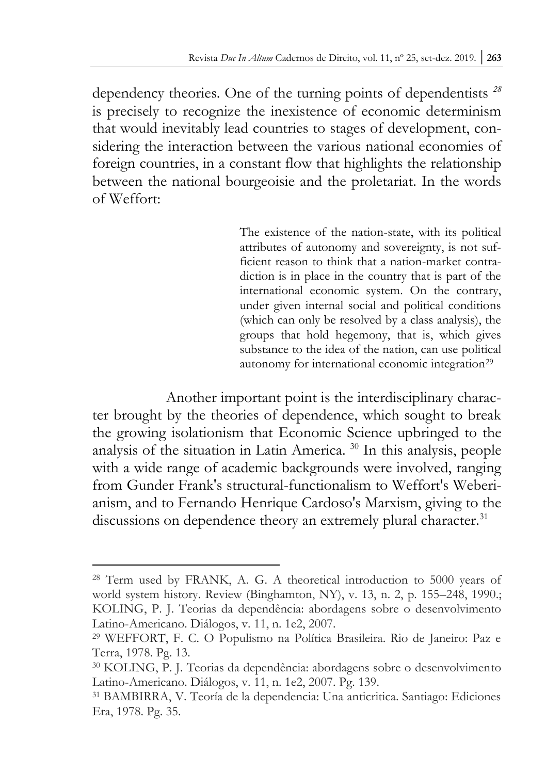dependency theories. One of the turning points of dependentists *<sup>28</sup>* is precisely to recognize the inexistence of economic determinism that would inevitably lead countries to stages of development, considering the interaction between the various national economies of foreign countries, in a constant flow that highlights the relationship between the national bourgeoisie and the proletariat. In the words of Weffort:

> The existence of the nation-state, with its political attributes of autonomy and sovereignty, is not sufficient reason to think that a nation-market contradiction is in place in the country that is part of the international economic system. On the contrary, under given internal social and political conditions (which can only be resolved by a class analysis), the groups that hold hegemony, that is, which gives substance to the idea of the nation, can use political autonomy for international economic integration<sup>29</sup>

Another important point is the interdisciplinary character brought by the theories of dependence, which sought to break the growing isolationism that Economic Science upbringed to the analysis of the situation in Latin America. <sup>30</sup> In this analysis, people with a wide range of academic backgrounds were involved, ranging from Gunder Frank's structural-functionalism to Weffort's Weberianism, and to Fernando Henrique Cardoso's Marxism, giving to the discussions on dependence theory an extremely plural character.<sup>31</sup>

<sup>28</sup> Term used by FRANK, A. G. A theoretical introduction to 5000 years of world system history. Review (Binghamton, NY), v. 13, n. 2, p. 155–248, 1990.; KOLING, P. J. Teorias da dependência: abordagens sobre o desenvolvimento Latino-Americano. Diálogos, v. 11, n. 1e2, 2007.

<sup>29</sup> WEFFORT, F. C. O Populismo na Política Brasileira. Rio de Janeiro: Paz e Terra, 1978. Pg. 13.

<sup>30</sup> KOLING, P. J. Teorias da dependência: abordagens sobre o desenvolvimento Latino-Americano. Diálogos, v. 11, n. 1e2, 2007. Pg. 139.

<sup>31</sup> BAMBIRRA, V. Teoría de la dependencia: Una anticritica. Santiago: Ediciones Era, 1978. Pg. 35.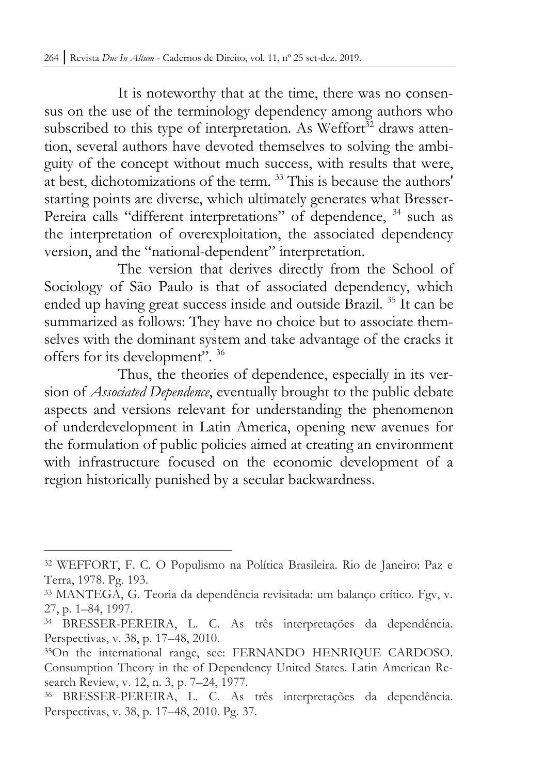It is noteworthy that at the time, there was no consensus on the use of the terminology dependency among authors who subscribed to this type of interpretation. As Weffort $\overline{3}^2$  draws attention, several authors have devoted themselves to solving the ambiguity of the concept without much success, with results that were, at best, dichotomizations of the term. <sup>33</sup> This is because the authors' starting points are diverse, which ultimately generates what Bresser-Pereira calls "different interpretations" of dependence, <sup>34</sup> such as the interpretation of overexploitation, the associated dependency version, and the "national-dependent" interpretation.

The version that derives directly from the School of Sociology of São Paulo is that of associated dependency, which ended up having great success inside and outside Brazil. <sup>35</sup> It can be summarized as follows: They have no choice but to associate themselves with the dominant system and take advantage of the cracks it offers for its development". <sup>36</sup>

Thus, the theories of dependence, especially in its version of *Associated Dependence*, eventually brought to the public debate aspects and versions relevant for understanding the phenomenon of underdevelopment in Latin America, opening new avenues for the formulation of public policies aimed at creating an environment with infrastructure focused on the economic development of a region historically punished by a secular backwardness.

<sup>32</sup> WEFFORT, F. C. O Populismo na Política Brasileira. Rio de Janeiro: Paz e Terra, 1978. Pg. 193.

<sup>33</sup> MANTEGA, G. Teoria da dependência revisitada: um balanço crítico. Fgv, v. 27, p. 1–84, 1997.

<sup>34</sup> BRESSER-PEREIRA, L. C. As três interpretações da dependência. Perspectivas, v. 38, p. 17–48, 2010.

<sup>35</sup>On the international range, see: FERNANDO HENRIQUE CARDOSO. Consumption Theory in the of Dependency United States. Latin American Research Review, v. 12, n. 3, p. 7–24, 1977.

<sup>36</sup> BRESSER-PEREIRA, L. C. As três interpretações da dependência. Perspectivas, v. 38, p. 17–48, 2010. Pg. 37.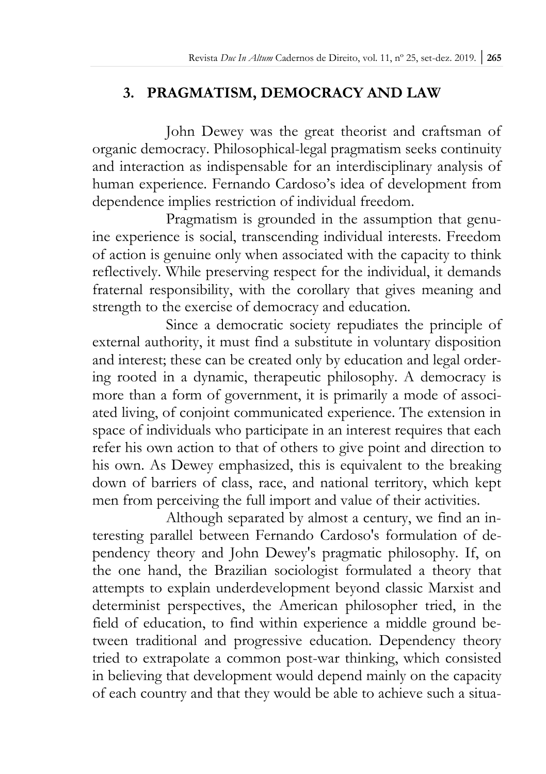# **3. PRAGMATISM, DEMOCRACY AND LAW**

John Dewey was the great theorist and craftsman of organic democracy. Philosophical-legal pragmatism seeks continuity and interaction as indispensable for an interdisciplinary analysis of human experience. Fernando Cardoso's idea of development from dependence implies restriction of individual freedom.

Pragmatism is grounded in the assumption that genuine experience is social, transcending individual interests. Freedom of action is genuine only when associated with the capacity to think reflectively. While preserving respect for the individual, it demands fraternal responsibility, with the corollary that gives meaning and strength to the exercise of democracy and education.

Since a democratic society repudiates the principle of external authority, it must find a substitute in voluntary disposition and interest; these can be created only by education and legal ordering rooted in a dynamic, therapeutic philosophy. A democracy is more than a form of government, it is primarily a mode of associated living, of conjoint communicated experience. The extension in space of individuals who participate in an interest requires that each refer his own action to that of others to give point and direction to his own. As Dewey emphasized, this is equivalent to the breaking down of barriers of class, race, and national territory, which kept men from perceiving the full import and value of their activities.

Although separated by almost a century, we find an interesting parallel between Fernando Cardoso's formulation of dependency theory and John Dewey's pragmatic philosophy. If, on the one hand, the Brazilian sociologist formulated a theory that attempts to explain underdevelopment beyond classic Marxist and determinist perspectives, the American philosopher tried, in the field of education, to find within experience a middle ground between traditional and progressive education. Dependency theory tried to extrapolate a common post-war thinking, which consisted in believing that development would depend mainly on the capacity of each country and that they would be able to achieve such a situa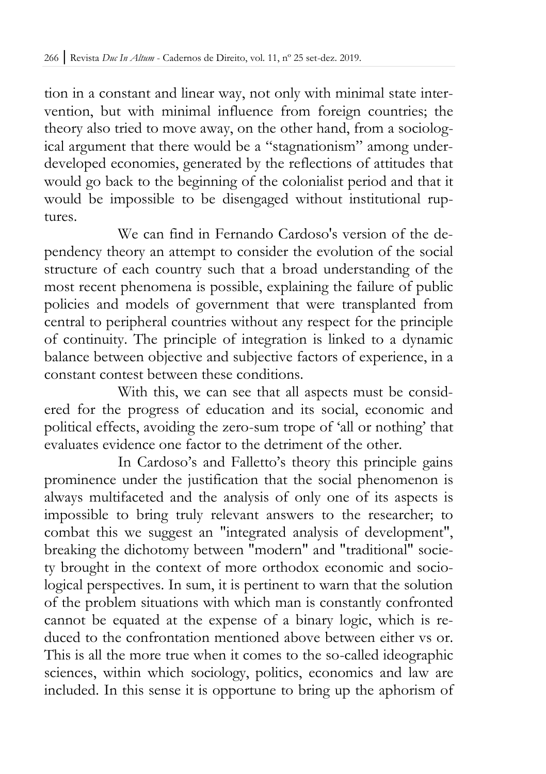tion in a constant and linear way, not only with minimal state intervention, but with minimal influence from foreign countries; the theory also tried to move away, on the other hand, from a sociological argument that there would be a "stagnationism" among underdeveloped economies, generated by the reflections of attitudes that would go back to the beginning of the colonialist period and that it would be impossible to be disengaged without institutional ruptures.

We can find in Fernando Cardoso's version of the dependency theory an attempt to consider the evolution of the social structure of each country such that a broad understanding of the most recent phenomena is possible, explaining the failure of public policies and models of government that were transplanted from central to peripheral countries without any respect for the principle of continuity. The principle of integration is linked to a dynamic balance between objective and subjective factors of experience, in a constant contest between these conditions.

With this, we can see that all aspects must be considered for the progress of education and its social, economic and political effects, avoiding the zero-sum trope of 'all or nothing' that evaluates evidence one factor to the detriment of the other.

In Cardoso's and Falletto's theory this principle gains prominence under the justification that the social phenomenon is always multifaceted and the analysis of only one of its aspects is impossible to bring truly relevant answers to the researcher; to combat this we suggest an "integrated analysis of development", breaking the dichotomy between "modern" and "traditional" society brought in the context of more orthodox economic and sociological perspectives. In sum, it is pertinent to warn that the solution of the problem situations with which man is constantly confronted cannot be equated at the expense of a binary logic, which is reduced to the confrontation mentioned above between either vs or. This is all the more true when it comes to the so-called ideographic sciences, within which sociology, politics, economics and law are included. In this sense it is opportune to bring up the aphorism of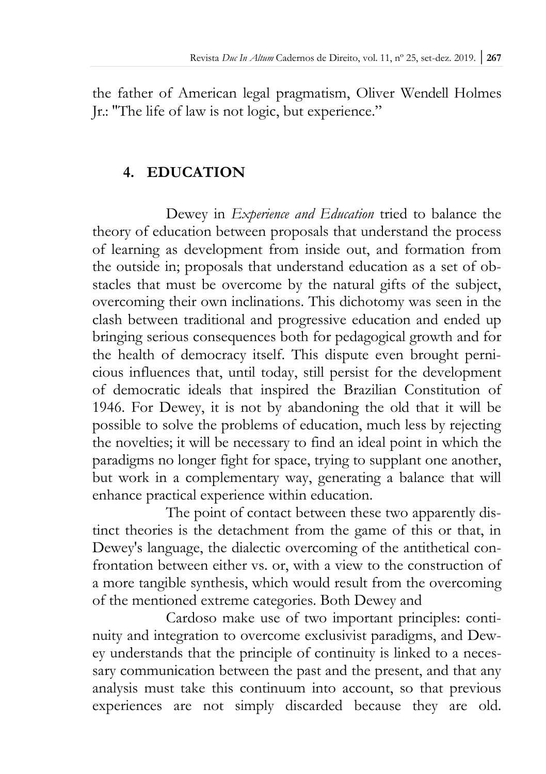the father of American legal pragmatism, Oliver Wendell Holmes Jr.: "The life of law is not logic, but experience."

## **4. EDUCATION**

Dewey in *Experience and Education* tried to balance the theory of education between proposals that understand the process of learning as development from inside out, and formation from the outside in; proposals that understand education as a set of obstacles that must be overcome by the natural gifts of the subject, overcoming their own inclinations. This dichotomy was seen in the clash between traditional and progressive education and ended up bringing serious consequences both for pedagogical growth and for the health of democracy itself. This dispute even brought pernicious influences that, until today, still persist for the development of democratic ideals that inspired the Brazilian Constitution of 1946. For Dewey, it is not by abandoning the old that it will be possible to solve the problems of education, much less by rejecting the novelties; it will be necessary to find an ideal point in which the paradigms no longer fight for space, trying to supplant one another, but work in a complementary way, generating a balance that will enhance practical experience within education.

The point of contact between these two apparently distinct theories is the detachment from the game of this or that, in Dewey's language, the dialectic overcoming of the antithetical confrontation between either vs. or, with a view to the construction of a more tangible synthesis, which would result from the overcoming of the mentioned extreme categories. Both Dewey and

Cardoso make use of two important principles: continuity and integration to overcome exclusivist paradigms, and Dewey understands that the principle of continuity is linked to a necessary communication between the past and the present, and that any analysis must take this continuum into account, so that previous experiences are not simply discarded because they are old.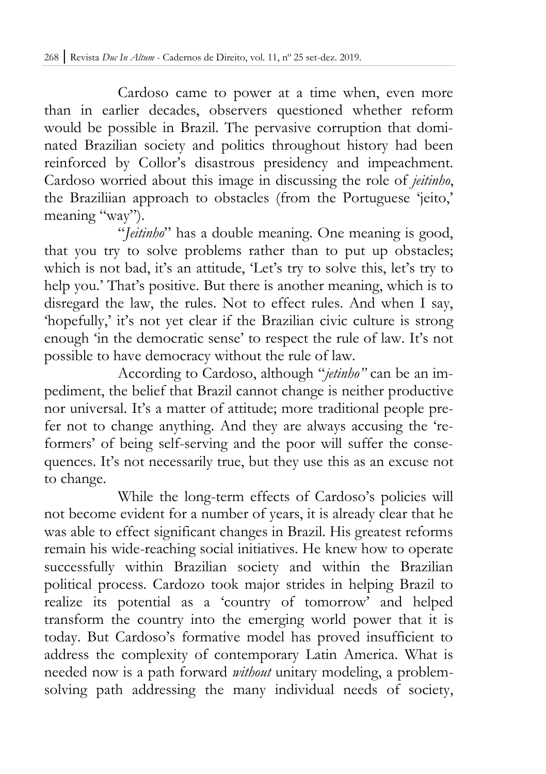Cardoso came to power at a time when, even more than in earlier decades, observers questioned whether reform would be possible in Brazil. The pervasive corruption that dominated Brazilian society and politics throughout history had been reinforced by Collor's disastrous presidency and impeachment. Cardoso worried about this image in discussing the role of *jeitinho*, the Braziliian approach to obstacles (from the Portuguese 'jeito,' meaning "way").

"*Jeitinho*" has a double meaning. One meaning is good, that you try to solve problems rather than to put up obstacles; which is not bad, it's an attitude, 'Let's try to solve this, let's try to help you.' That's positive. But there is another meaning, which is to disregard the law, the rules. Not to effect rules. And when I say, 'hopefully,' it's not yet clear if the Brazilian civic culture is strong enough 'in the democratic sense' to respect the rule of law. It's not possible to have democracy without the rule of law.

According to Cardoso, although "*jetinho"* can be an impediment, the belief that Brazil cannot change is neither productive nor universal. It's a matter of attitude; more traditional people prefer not to change anything. And they are always accusing the 'reformers' of being self-serving and the poor will suffer the consequences. It's not necessarily true, but they use this as an excuse not to change.

While the long-term effects of Cardoso's policies will not become evident for a number of years, it is already clear that he was able to effect significant changes in Brazil. His greatest reforms remain his wide-reaching social initiatives. He knew how to operate successfully within Brazilian society and within the Brazilian political process. Cardozo took major strides in helping Brazil to realize its potential as a 'country of tomorrow' and helped transform the country into the emerging world power that it is today. But Cardoso's formative model has proved insufficient to address the complexity of contemporary Latin America. What is needed now is a path forward *without* unitary modeling, a problemsolving path addressing the many individual needs of society,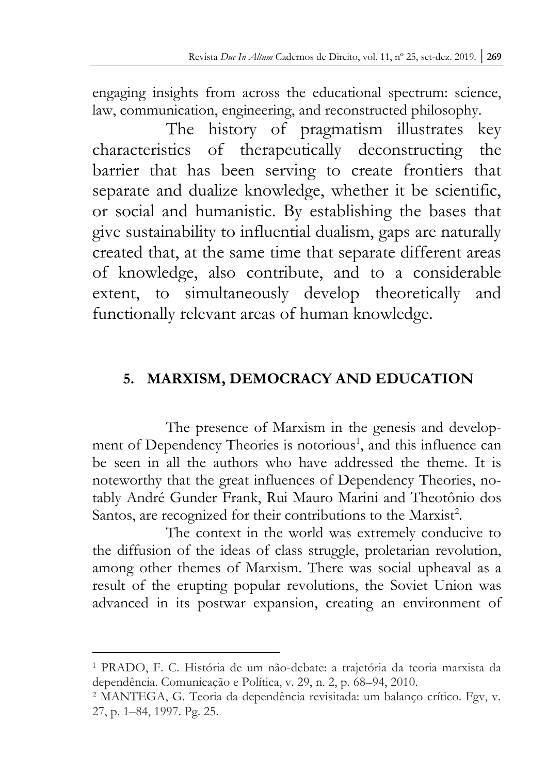engaging insights from across the educational spectrum: science, law, communication, engineering, and reconstructed philosophy.

The history of pragmatism illustrates key characteristics of therapeutically deconstructing the barrier that has been serving to create frontiers that separate and dualize knowledge, whether it be scientific, or social and humanistic. By establishing the bases that give sustainability to influential dualism, gaps are naturally created that, at the same time that separate different areas of knowledge, also contribute, and to a considerable extent, to simultaneously develop theoretically and functionally relevant areas of human knowledge.

# **5. MARXISM, DEMOCRACY AND EDUCATION**

The presence of Marxism in the genesis and development of Dependency Theories is notorious<sup>1</sup>, and this influence can be seen in all the authors who have addressed the theme. It is noteworthy that the great influences of Dependency Theories, notably André Gunder Frank, Rui Mauro Marini and Theotônio dos Santos, are recognized for their contributions to the Marxist<sup>2</sup>.

The context in the world was extremely conducive to the diffusion of the ideas of class struggle, proletarian revolution, among other themes of Marxism. There was social upheaval as a result of the erupting popular revolutions, the Soviet Union was advanced in its postwar expansion, creating an environment of

<sup>1</sup> PRADO, F. C. História de um não-debate: a trajetória da teoria marxista da dependência. Comunicação e Política, v. 29, n. 2, p. 68–94, 2010.

<sup>2</sup> MANTEGA, G. Teoria da dependência revisitada: um balanço crítico. Fgv, v. 27, p. 1–84, 1997. Pg. 25.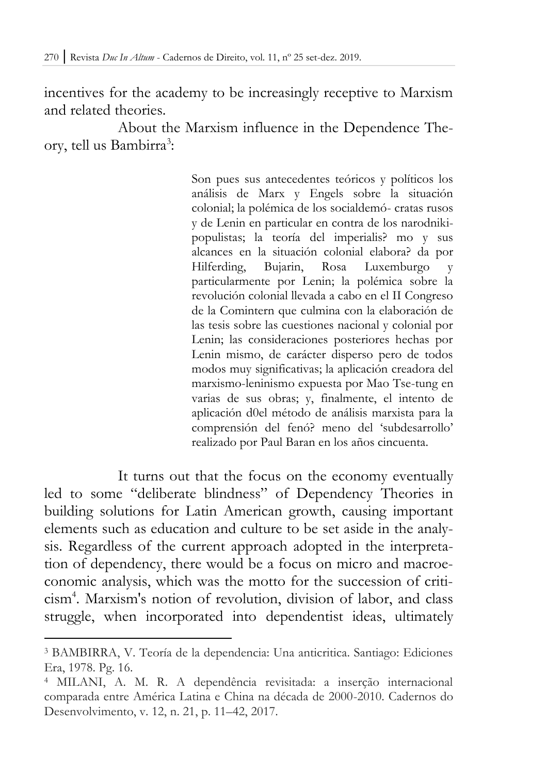incentives for the academy to be increasingly receptive to Marxism and related theories.

About the Marxism influence in the Dependence Theory, tell us Bambirra<sup>3</sup>:

> Son pues sus antecedentes teóricos y políticos los análisis de Marx y Engels sobre la situación colonial; la polémica de los socialdemó- cratas rusos y de Lenin en particular en contra de los narodnikipopulistas; la teoría del imperialis? mo y sus alcances en la situación colonial elabora? da por Hilferding, Bujarin, Rosa Luxemburgo y particularmente por Lenin; la polémica sobre la revolución colonial llevada a cabo en el II Congreso de la Comintern que culmina con la elaboración de las tesis sobre las cuestiones nacional y colonial por Lenin; las consideraciones posteriores hechas por Lenin mismo, de carácter disperso pero de todos modos muy significativas; la aplicación creadora del marxismo-leninismo expuesta por Mao Tse-tung en varias de sus obras; y, finalmente, el intento de aplicación d0el método de análisis marxista para la comprensión del fenó? meno del 'subdesarrollo' realizado por Paul Baran en los años cincuenta.

It turns out that the focus on the economy eventually led to some "deliberate blindness" of Dependency Theories in building solutions for Latin American growth, causing important elements such as education and culture to be set aside in the analysis. Regardless of the current approach adopted in the interpretation of dependency, there would be a focus on micro and macroeconomic analysis, which was the motto for the succession of criticism<sup>4</sup> . Marxism's notion of revolution, division of labor, and class struggle, when incorporated into dependentist ideas, ultimately

<sup>3</sup> BAMBIRRA, V. Teoría de la dependencia: Una anticritica. Santiago: Ediciones Era, 1978. Pg. 16.

<sup>4</sup> MILANI, A. M. R. A dependência revisitada: a inserção internacional comparada entre América Latina e China na década de 2000-2010. Cadernos do Desenvolvimento, v. 12, n. 21, p. 11–42, 2017.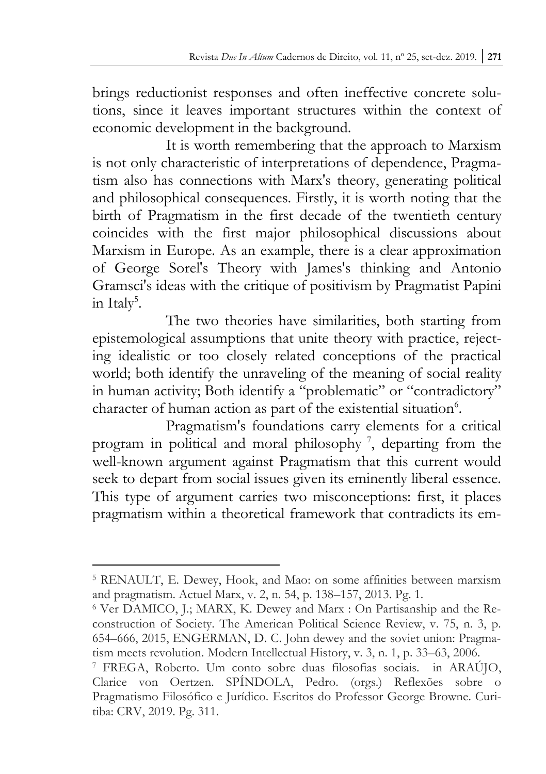brings reductionist responses and often ineffective concrete solutions, since it leaves important structures within the context of economic development in the background.

It is worth remembering that the approach to Marxism is not only characteristic of interpretations of dependence, Pragmatism also has connections with Marx's theory, generating political and philosophical consequences. Firstly, it is worth noting that the birth of Pragmatism in the first decade of the twentieth century coincides with the first major philosophical discussions about Marxism in Europe. As an example, there is a clear approximation of George Sorel's Theory with James's thinking and Antonio Gramsci's ideas with the critique of positivism by Pragmatist Papini in Italy<sup>5</sup>.

The two theories have similarities, both starting from epistemological assumptions that unite theory with practice, rejecting idealistic or too closely related conceptions of the practical world; both identify the unraveling of the meaning of social reality in human activity; Both identify a "problematic" or "contradictory" character of human action as part of the existential situation<sup>6</sup>.

Pragmatism's foundations carry elements for a critical program in political and moral philosophy<sup>7</sup>, departing from the well-known argument against Pragmatism that this current would seek to depart from social issues given its eminently liberal essence. This type of argument carries two misconceptions: first, it places pragmatism within a theoretical framework that contradicts its em-

<sup>5</sup> RENAULT, E. Dewey, Hook, and Mao: on some affinities between marxism and pragmatism. Actuel Marx, v. 2, n. 54, p. 138–157, 2013. Pg. 1.

<sup>6</sup> Ver DAMICO, J.; MARX, K. Dewey and Marx : On Partisanship and the Reconstruction of Society. The American Political Science Review, v. 75, n. 3, p. 654–666, 2015, ENGERMAN, D. C. John dewey and the soviet union: Pragmatism meets revolution. Modern Intellectual History, v. 3, n. 1, p. 33–63, 2006.

<sup>7</sup> FREGA, Roberto. Um conto sobre duas filosofias sociais. in ARAÚJO, Clarice von Oertzen. SPÍNDOLA, Pedro. (orgs.) Reflexões sobre o Pragmatismo Filosófico e Jurídico. Escritos do Professor George Browne. Curitiba: CRV, 2019. Pg. 311.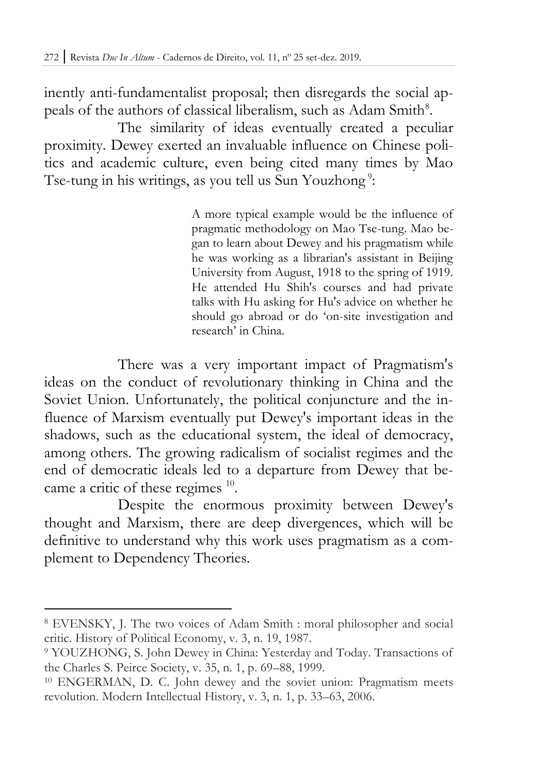inently anti-fundamentalist proposal; then disregards the social appeals of the authors of classical liberalism, such as Adam Smith<sup>8</sup>.

The similarity of ideas eventually created a peculiar proximity. Dewey exerted an invaluable influence on Chinese politics and academic culture, even being cited many times by Mao Tse-tung in his writings, as you tell us Sun Youzhong<sup>9</sup>:

> A more typical example would be the influence of pragmatic methodology on Mao Tse-tung. Mao began to learn about Dewey and his pragmatism while he was working as a librarian's assistant in Beijing University from August, 1918 to the spring of 1919. He attended Hu Shih's courses and had private talks with Hu asking for Hu's advice on whether he should go abroad or do 'on-site investigation and research' in China.

There was a very important impact of Pragmatism's ideas on the conduct of revolutionary thinking in China and the Soviet Union. Unfortunately, the political conjuncture and the influence of Marxism eventually put Dewey's important ideas in the shadows, such as the educational system, the ideal of democracy, among others. The growing radicalism of socialist regimes and the end of democratic ideals led to a departure from Dewey that became a critic of these regimes <sup>10</sup>.

Despite the enormous proximity between Dewey's thought and Marxism, there are deep divergences, which will be definitive to understand why this work uses pragmatism as a complement to Dependency Theories.

<sup>8</sup> EVENSKY, J. The two voices of Adam Smith : moral philosopher and social critic. History of Political Economy, v. 3, n. 19, 1987.

<sup>9</sup> YOUZHONG, S. John Dewey in China: Yesterday and Today. Transactions of the Charles S. Peirce Society, v. 35, n. 1, p. 69–88, 1999.

<sup>10</sup> ENGERMAN, D. C. John dewey and the soviet union: Pragmatism meets revolution. Modern Intellectual History, v. 3, n. 1, p. 33–63, 2006.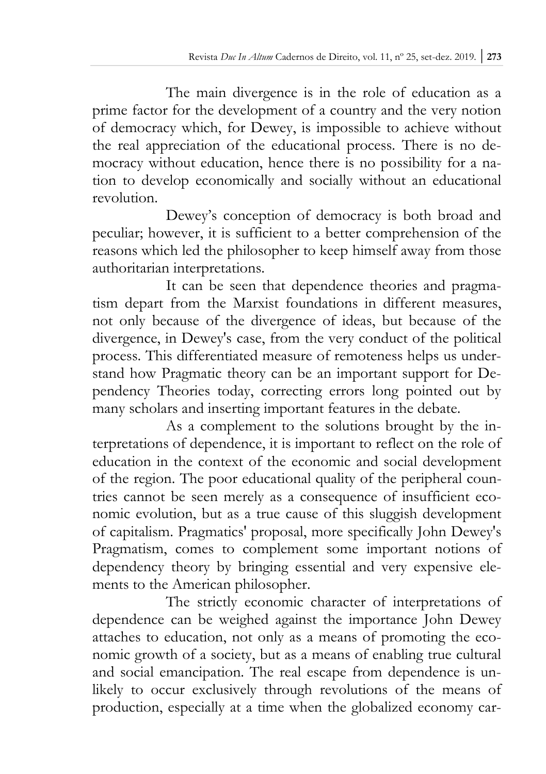The main divergence is in the role of education as a prime factor for the development of a country and the very notion of democracy which, for Dewey, is impossible to achieve without the real appreciation of the educational process. There is no democracy without education, hence there is no possibility for a nation to develop economically and socially without an educational revolution.

Dewey's conception of democracy is both broad and peculiar; however, it is sufficient to a better comprehension of the reasons which led the philosopher to keep himself away from those authoritarian interpretations.

It can be seen that dependence theories and pragmatism depart from the Marxist foundations in different measures, not only because of the divergence of ideas, but because of the divergence, in Dewey's case, from the very conduct of the political process. This differentiated measure of remoteness helps us understand how Pragmatic theory can be an important support for Dependency Theories today, correcting errors long pointed out by many scholars and inserting important features in the debate.

As a complement to the solutions brought by the interpretations of dependence, it is important to reflect on the role of education in the context of the economic and social development of the region. The poor educational quality of the peripheral countries cannot be seen merely as a consequence of insufficient economic evolution, but as a true cause of this sluggish development of capitalism. Pragmatics' proposal, more specifically John Dewey's Pragmatism, comes to complement some important notions of dependency theory by bringing essential and very expensive elements to the American philosopher.

The strictly economic character of interpretations of dependence can be weighed against the importance John Dewey attaches to education, not only as a means of promoting the economic growth of a society, but as a means of enabling true cultural and social emancipation. The real escape from dependence is unlikely to occur exclusively through revolutions of the means of production, especially at a time when the globalized economy car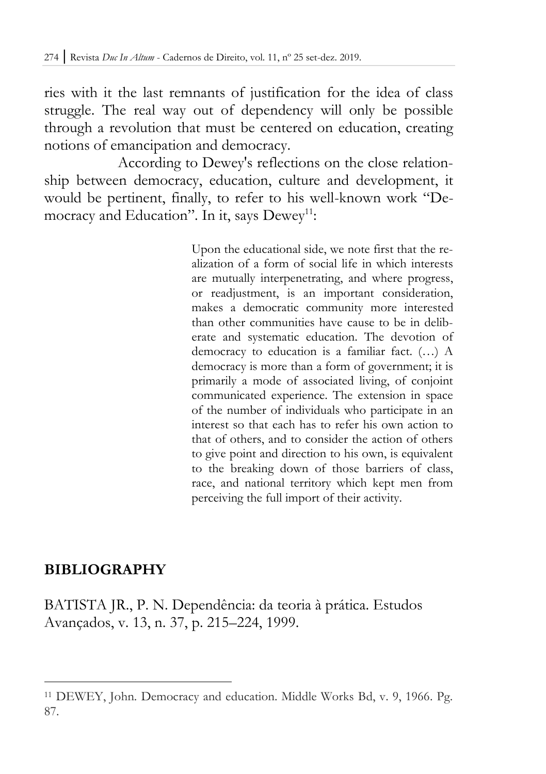ries with it the last remnants of justification for the idea of class struggle. The real way out of dependency will only be possible through a revolution that must be centered on education, creating notions of emancipation and democracy.

According to Dewey's reflections on the close relationship between democracy, education, culture and development, it would be pertinent, finally, to refer to his well-known work "Democracy and Education". In it, says Dewey<sup>11</sup>:

> Upon the educational side, we note first that the realization of a form of social life in which interests are mutually interpenetrating, and where progress, or readjustment, is an important consideration, makes a democratic community more interested than other communities have cause to be in deliberate and systematic education. The devotion of democracy to education is a familiar fact. (…) A democracy is more than a form of government; it is primarily a mode of associated living, of conjoint communicated experience. The extension in space of the number of individuals who participate in an interest so that each has to refer his own action to that of others, and to consider the action of others to give point and direction to his own, is equivalent to the breaking down of those barriers of class, race, and national territory which kept men from perceiving the full import of their activity.

### **BIBLIOGRAPHY**

 $\overline{a}$ 

BATISTA JR., P. N. Dependência: da teoria à prática. Estudos Avançados, v. 13, n. 37, p. 215–224, 1999.

<sup>11</sup> DEWEY, John. Democracy and education. Middle Works Bd, v. 9, 1966. Pg. 87.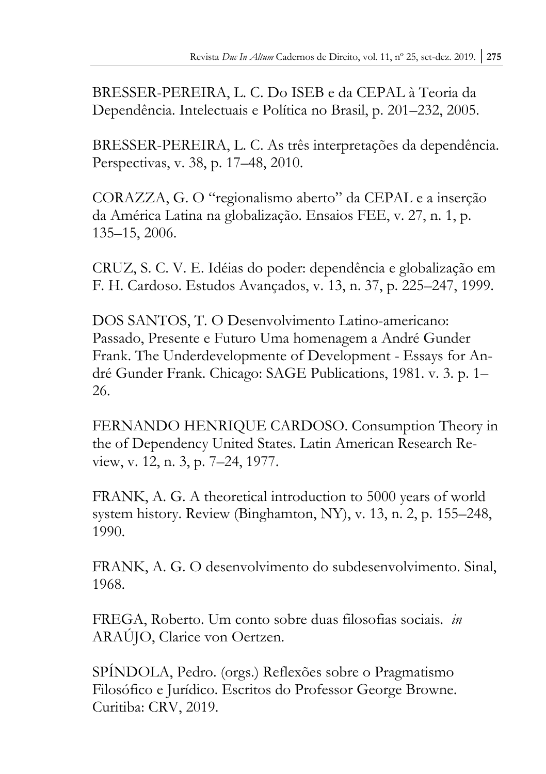BRESSER-PEREIRA, L. C. Do ISEB e da CEPAL à Teoria da Dependência. Intelectuais e Política no Brasil, p. 201–232, 2005.

BRESSER-PEREIRA, L. C. As três interpretações da dependência. Perspectivas, v. 38, p. 17–48, 2010.

CORAZZA, G. O "regionalismo aberto" da CEPAL e a inserção da América Latina na globalização. Ensaios FEE, v. 27, n. 1, p. 135–15, 2006.

CRUZ, S. C. V. E. Idéias do poder: dependência e globalização em F. H. Cardoso. Estudos Avançados, v. 13, n. 37, p. 225–247, 1999.

DOS SANTOS, T. O Desenvolvimento Latino-americano: Passado, Presente e Futuro Uma homenagem a André Gunder Frank. The Underdevelopmente of Development - Essays for André Gunder Frank. Chicago: SAGE Publications, 1981. v. 3. p. 1– 26.

FERNANDO HENRIQUE CARDOSO. Consumption Theory in the of Dependency United States. Latin American Research Review, v. 12, n. 3, p. 7–24, 1977.

FRANK, A. G. A theoretical introduction to 5000 years of world system history. Review (Binghamton, NY), v. 13, n. 2, p. 155–248, 1990.

FRANK, A. G. O desenvolvimento do subdesenvolvimento. Sinal, 1968.

FREGA, Roberto. Um conto sobre duas filosofias sociais. *in*  ARAÚJO, Clarice von Oertzen.

SPÍNDOLA, Pedro. (orgs.) Reflexões sobre o Pragmatismo Filosófico e Jurídico. Escritos do Professor George Browne. Curitiba: CRV, 2019.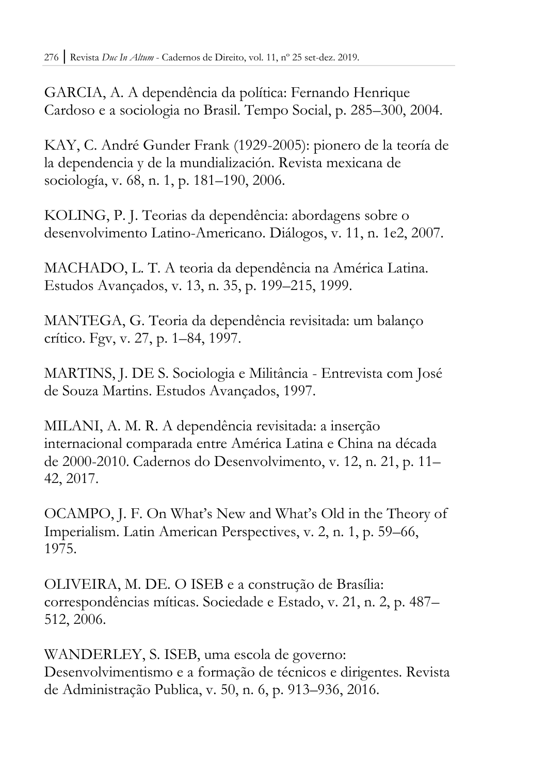GARCIA, A. A dependência da política: Fernando Henrique Cardoso e a sociologia no Brasil. Tempo Social, p. 285–300, 2004.

KAY, C. André Gunder Frank (1929-2005): pionero de la teoría de la dependencia y de la mundialización. Revista mexicana de sociología, v. 68, n. 1, p. 181–190, 2006.

KOLING, P. J. Teorias da dependência: abordagens sobre o desenvolvimento Latino-Americano. Diálogos, v. 11, n. 1e2, 2007.

MACHADO, L. T. A teoria da dependência na América Latina. Estudos Avançados, v. 13, n. 35, p. 199–215, 1999.

MANTEGA, G. Teoria da dependência revisitada: um balanço crítico. Fgv, v. 27, p. 1–84, 1997.

MARTINS, J. DE S. Sociologia e Militância - Entrevista com José de Souza Martins. Estudos Avançados, 1997.

MILANI, A. M. R. A dependência revisitada: a inserção internacional comparada entre América Latina e China na década de 2000-2010. Cadernos do Desenvolvimento, v. 12, n. 21, p. 11– 42, 2017.

OCAMPO, J. F. On What's New and What's Old in the Theory of Imperialism. Latin American Perspectives, v. 2, n. 1, p. 59–66, 1975.

OLIVEIRA, M. DE. O ISEB e a construção de Brasília: correspondências míticas. Sociedade e Estado, v. 21, n. 2, p. 487– 512, 2006.

WANDERLEY, S. ISEB, uma escola de governo: Desenvolvimentismo e a formação de técnicos e dirigentes. Revista de Administração Publica, v. 50, n. 6, p. 913–936, 2016.